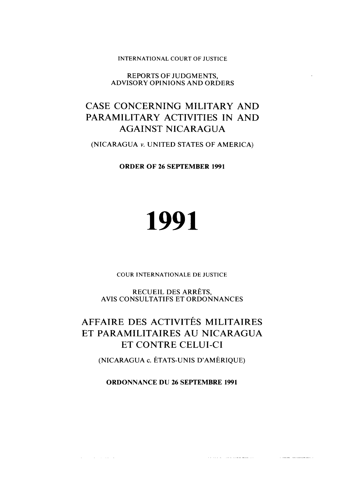INTERNATIONAL COURT OF JUSTICE

REPORTS OF JUDGMENTS, ADVISORY OPINIONS AND ORDERS

# CASE CONCERNING MILITARY AND PARAMILITARY ACTIVITIES IN AND AGAINST NICARAGUA

(NICARAGUA v. UNITED STATES OF AMERICA)

**ORDER OF 26 SEPTEMBER 1991** 

# 1991

COUR INTERNATIONALE DE JUSTICE

RECUEIL DES ARRÊTS, AVIS CONSULTATIFS ET ORDONNANCES

# AFFAIRE DES ACTIVITÉS MILITAIRES ET PARAMILITAIRES AU NICARAGUA ET CONTRE CELUI-CI

(NICARAGUA c. ÉTATS-UNIS D'AMÉRIQUE)

**ORDONNANCE DU 26 SEPTEMBRE 1991** 

 $\hat{S}(\hat{x})$  , where  $\hat{S}(\hat{x})$  , and the contract means and  $\hat{S}(\hat{x})$ 

 $\label{eq:1} \hat{\mathbf{v}} = \hat{\mathbf{v}} \hat{\mathbf{v}} \hat{\mathbf{v}} \hat{\mathbf{v}} \hat{\mathbf{v}} \hat{\mathbf{v}} = \hat{\mathbf{v}} \hat{\mathbf{v}} \hat{\mathbf{v}} + \hat{\mathbf{v}} \hat{\mathbf{v}} \hat{\mathbf{v}} + \hat{\mathbf{v}} \hat{\mathbf{v}} \hat{\mathbf{v}} + \hat{\mathbf{v}} \hat{\mathbf{v}} \hat{\mathbf{v}}$ 

 $\sim$ 

 $\mathcal{L}^{\mathcal{L}}(\mathcal{L}^{\mathcal{L}})$  , we have  $\mathcal{L}^{\mathcal{L}}(\mathcal{L}^{\mathcal{L}})$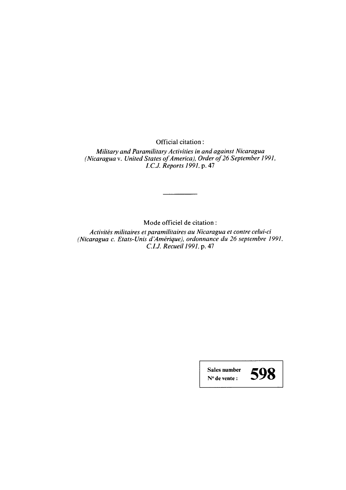Official citation:

*Military and Paramilitary Activities in and against Nicaragua (Nicaragua* **v.** *United States of America), Order of 26 September* 1991, *I.C.J. Reports* 1991, **p.** *47* 

Mode officiel de citation :

*Activités militaires et paramilitaires au Nicaragua et contre celui-ci (Nicaragua c. Etats-Unis d Amérique), ordonnance du 26 septembre* 1991. *C. I.J. Recueil* 1991, **p.** *47* 

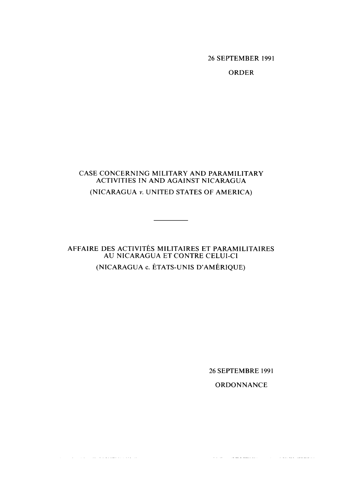26 **SEPTEMBER** 1991

**ORDER** 

### CASE CONCERNING MILITARY AND PARAMILITARY **ACTIVITIES IN AND AGAINST NICARAGUA (NICARACjUA v. UNITED STATES OF AMERICA)**

## **AFFAIRE DES ACTIVITÉS MILITAIRES ET PARAMILITAIRES AU NICARAGUA ET CONTRE CELUI-CI (NICARAGUA c. ÉTATS-UNIS D'AMÉRIQUE)**

 $\sim 100$  km s

 $\sim$  10  $^{\prime\prime}$  , and the second component of the second

26 **SEPTEMBRE** 1991

**ORDONNANCE** 

 $\left\langle \hat{\mathbf{v}}_{\mathbf{v}}\right\rangle =\left\langle \hat{\mathbf{v}}_{\mathbf{v}}\right\rangle =\left\langle \hat{\mathbf{v}}_{\mathbf{v}}\right\rangle =\left\langle \hat{\mathbf{v}}_{\mathbf{v}}\right\rangle =\left\langle \hat{\mathbf{v}}_{\mathbf{v}}\right\rangle =\left\langle \hat{\mathbf{v}}_{\mathbf{v}}\right\rangle =\left\langle \hat{\mathbf{v}}_{\mathbf{v}}\right\rangle =\left\langle \hat{\mathbf{v}}_{\mathbf{v}}\right\rangle =\left\langle \hat{\mathbf{v}}_{\mathbf{v}}\right\rangle =\left\langle$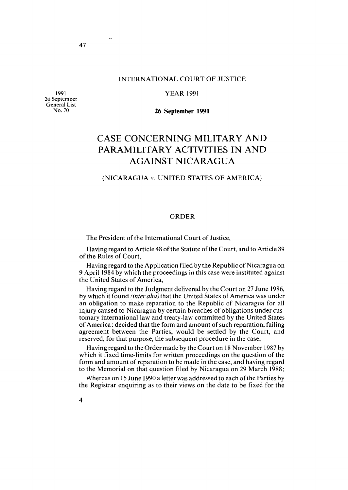#### INTERNATIONAL COURT OF JUSTICE

**1991 26 September General List No. 70** 

YEAR 1991

**26 September 1991** 

## **CASE CONCERNING MILITARY AND PARAMILITARY ACTIVITIES IN AND AGAINST NICARAGUA**

#### (NICARAGUA v. UNITED STATES OF AMERICA)

#### ORDER

The President of the International Court of Justice,

Having regard to Article 48 of the Statute of the Court, and to Article 89 of the Rules of Court,

Having regard to the Application filed by the Republic of Nicaragua on 9 April 1984 by which the proceedings in this case were instituted against the United States of America,

Having regard to the Judgment delivered by the Court on 27 June 1986, by which it found *(inter alia)* that the United States of America was under an obligation to make reparation to the Republic of Nicaragua for al1 injury caused to Nicaragua by certain breaches of obligations under customary international law and treaty-law committed by the United States of America; decided that the form and amount of such reparation, failing agreement between the Parties, would be settled by the Court, and reserved, for that purpose, the subsequent procedure in the case,

Having regard to the Order made by the Court on 18 November 1987 by which it fixed time-limits for written proceedings on the question of the form and amount of reparation to be made in the case, and having regard to the Memorial on that question filed by Nicaragua on 29 March 1988;

Whereas on 15 June 1990 a letter was addressed to each of the Parties by the Registrar enquiring as to their views on the date to be fixed for the

 $\sim$